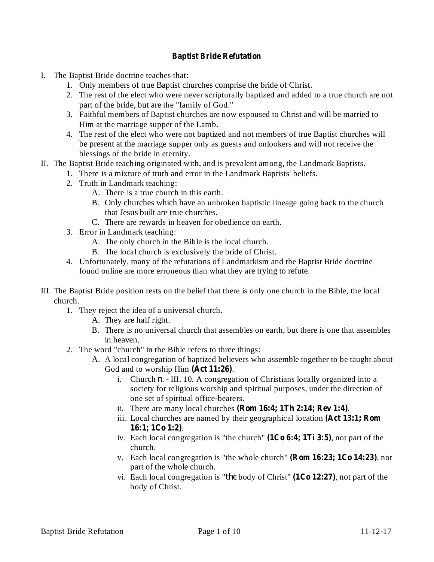## **Baptist Bride Refutation**

- I. The Baptist Bride doctrine teaches that:
	- 1. Only members of true Baptist churches comprise the bride of Christ.
	- 2. The rest of the elect who were never scripturally baptized and added to a true church are not part of the bride, but are the "family of God."
	- 3. Faithful members of Baptist churches are now espoused to Christ and will be married to Him at the marriage supper of the Lamb.
	- 4. The rest of the elect who were not baptized and not members of true Baptist churches will be present at the marriage supper only as guests and onlookers and will not receive the blessings of the bride in eternity.
- II. The Baptist Bride teaching originated with, and is prevalent among, the Landmark Baptists.
	- 1. There is a mixture of truth and error in the Landmark Baptists' beliefs.
	- 2. Truth in Landmark teaching:
		- A. There is a true church in this earth.
		- B. Only churches which have an unbroken baptistic lineage going back to the church that Jesus built are true churches.
		- C. There are rewards in heaven for obedience on earth.
	- 3. Error in Landmark teaching:
		- A. The only church in the Bible is the local church.
		- B. The local church is exclusively the bride of Christ.
	- 4. Unfortunately, many of the refutations of Landmarkism and the Baptist Bride doctrine found online are more erroneous than what they are trying to refute.
- III. The Baptist Bride position rests on the belief that there is only one church in the Bible, the local church.
	- 1. They reject the idea of a universal church.
		- A. They are half right.
		- B. There is no universal church that assembles on earth, but there is one that assembles in heaven.
	- 2. The word "church" in the Bible refers to three things:
		- A. A local congregation of baptized believers who assemble together to be taught about God and to worship Him (Act 11:26).
			- i. Church *n*. III. 10. A congregation of Christians locally organized into a society for religious worship and spiritual purposes, under the direction of one set of spiritual office-bearers.
			- ii. There are many local churches  $(Rom 16:4; 1Th 2:14; Rev 1:4)$ .
			- iii. Local churches are named by their geographical location **(Act 13:1; Rom** . **16:1; 1Co 1:2)**
			- iv. Each local congregation is "the church"  $(1Co 6:4; 1Ti 3:5)$ , not part of the church.
			- v. Each local congregation is "the whole church"  $(Rom 16:23; 1Co 14:23)$ , not part of the whole church.
			- vi. Each local congregation is "*the* body of Christ"  $(1Co 12:27)$ , not part of the body of Christ.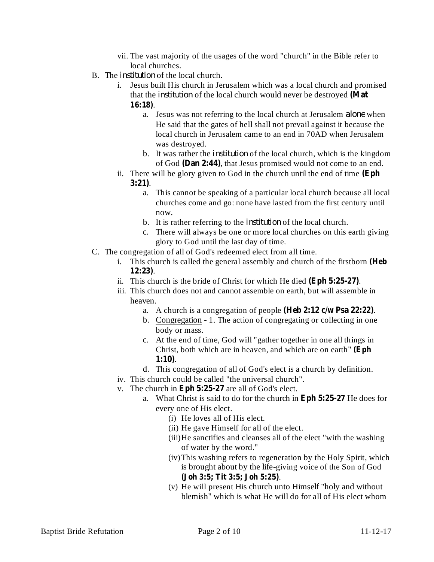- vii. The vast majority of the usages of the word "church" in the Bible refer to local churches.
- B. The *institution* of the local church.
	- i. Jesus built His church in Jerusalem which was a local church and promised that the *institution* of the local church would never be destroyed (Mat . **16:18)**
		- a. Jesus was not referring to the local church at Jerusalem *alone* when He said that the gates of hell shall not prevail against it because the local church in Jerusalem came to an end in 70AD when Jerusalem was destroyed.
		- b. It was rather the *institution* of the local church, which is the kingdom of God (Dan 2:44), that Jesus promised would not come to an end.
	- ii. There will be glory given to God in the church until the end of time **(Eph** . **3:21)**
		- a. This cannot be speaking of a particular local church because all local churches come and go: none have lasted from the first century until now.
		- b. It is rather referring to the *institution* of the local church.
		- c. There will always be one or more local churches on this earth giving glory to God until the last day of time.
- C. The congregation of all of God's redeemed elect from all time.
	- i. This church is called the general assembly and church of the firstborn **(Heb** . **12:23)**
	- ii. This church is the bride of Christ for which He died (Eph 5:25-27).
	- iii. This church does not and cannot assemble on earth, but will assemble in heaven.
		- a. A church is a congregation of people (Heb 2:12 c/w Psa 22:22).
		- b. Congregation 1. The action of congregating or collecting in one body or mass.
		- c. At the end of time, God will "gather together in one all things in Christ, both which are in heaven, and which are on earth" **(Eph** . **1:10)**
		- d. This congregation of all of God's elect is a church by definition.
	- iv. This church could be called "the universal church".
	- $v$ . The church in Eph  $5:25-27$  are all of God's elect.
		- a. What Christ is said to do for the church in Eph 5:25-27 He does for every one of His elect.
			- (i) He loves all of His elect.
			- (ii) He gave Himself for all of the elect.
			- (iii)He sanctifies and cleanses all of the elect "with the washing of water by the word."
			- (iv)This washing refers to regeneration by the Holy Spirit, which is brought about by the life-giving voice of the Son of God . **(Joh 3:5; Tit 3:5; Joh 5:25)**
			- (v) He will present His church unto Himself "holy and without blemish" which is what He will do for all of His elect whom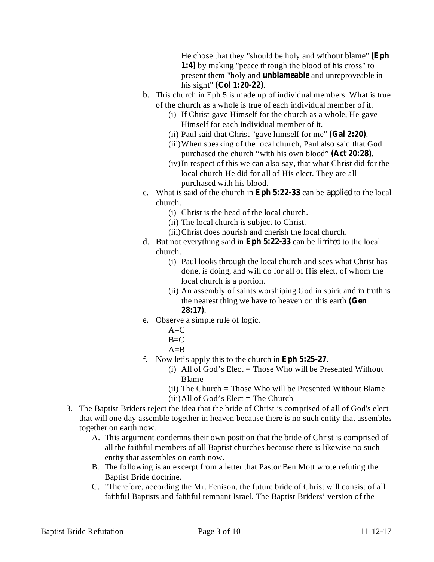He chose that they "should be holy and without blame" **(Eph** 1:4) by making "peace through the blood of his cross" to present them "holy and **unblameable** and unreproveable in his sight" (Col 1:20-22).

- b. This church in Eph 5 is made up of individual members. What is true of the church as a whole is true of each individual member of it.
	- (i) If Christ gave Himself for the church as a whole, He gave Himself for each individual member of it.
	- (ii) Paul said that Christ "gave himself for me" (Gal 2:20).
	- (iii)When speaking of the local church, Paul also said that God purchased the church "with his own blood" (Act 20:28).
	- (iv)In respect of this we can also say, that what Christ did for the local church He did for all of His elect. They are all purchased with his blood.
- c. What is said of the church in Eph  $5:22-33$  can be *applied* to the local church.
	- (i) Christ is the head of the local church.
	- (ii) The local church is subject to Christ.
	- (iii)Christ does nourish and cherish the local church.
- d. But not everything said in Eph 5:22-33 can be *limited* to the local church.
	- (i) Paul looks through the local church and sees what Christ has done, is doing, and will do for all of His elect, of whom the local church is a portion.
	- (ii) An assembly of saints worshiping God in spirit and in truth is the nearest thing we have to heaven on this earth **(Gen** . **28:17)**
- e. Observe a simple rule of logic.
	- $A = C$
	- $B=C$
	- $A=$ B
- f. Now let's apply this to the church in Eph 5:25-27.
	- (i) All of God's Elect  $=$  Those Who will be Presented Without Blame
	- (ii) The Church = Those Who will be Presented Without Blame
	- $(iii)$ All of God's Elect = The Church
- 3. The Baptist Briders reject the idea that the bride of Christ is comprised of all of God's elect that will one day assemble together in heaven because there is no such entity that assembles together on earth now.
	- A. This argument condemns their own position that the bride of Christ is comprised of all the faithful members of all Baptist churches because there is likewise no such entity that assembles on earth now.
	- B. The following is an excerpt from a letter that Pastor Ben Mott wrote refuting the Baptist Bride doctrine.
	- C. "Therefore, according the Mr. Fenison, the future bride of Christ will consist of all faithful Baptists and faithful remnant Israel. The Baptist Briders' version of the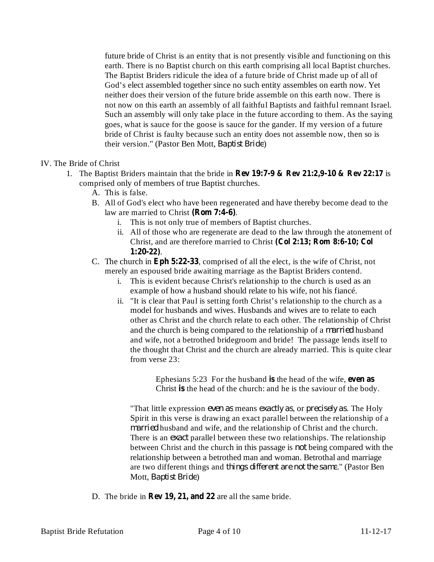future bride of Christ is an entity that is not presently visible and functioning on this earth. There is no Baptist church on this earth comprising all local Baptist churches. The Baptist Briders ridicule the idea of a future bride of Christ made up of all of God's elect assembled together since no such entity assembles on earth now. Yet neither does their version of the future bride assemble on this earth now. There is not now on this earth an assembly of all faithful Baptists and faithful remnant Israel. Such an assembly will only take place in the future according to them. As the saying goes, what is sauce for the goose is sauce for the gander. If my version of a future bride of Christ is faulty because such an entity does not assemble now, then so is their version." (Pastor Ben Mott, Baptist Bride)

- IV. The Bride of Christ
	- 1. The Baptist Briders maintain that the bride in **Rev** 19:7-9 & Rev 21:2,9-10 & Rev 22:17 is comprised only of members of true Baptist churches.
		- A. This is false.
		- B. All of God's elect who have been regenerated and have thereby become dead to the law are married to Christ (Rom 7:4-6).
			- i. This is not only true of members of Baptist churches.
			- ii. All of those who are regenerate are dead to the law through the atonement of Christ, and are therefore married to Christ **(Col 2:13; Rom 8:6-10; Col** . **1:20-22)**
		- C. The church in Eph 5:22-33, comprised of all the elect, is the wife of Christ, not merely an espoused bride awaiting marriage as the Baptist Briders contend.
			- i. This is evident because Christ's relationship to the church is used as an example of how a husband should relate to his wife, not his fiancé.
			- ii. "It is clear that Paul is setting forth Christ's relationship to the church as a model for husbands and wives. Husbands and wives are to relate to each other as Christ and the church relate to each other. The relationship of Christ and the church is being compared to the relationship of a *married* husband and wife, not a betrothed bridegroom and bride! The passage lends itself to the thought that Christ and the church are already married. This is quite clear from verse 23:

Ephesians 5:23 For the husband is the head of the wife, even as Christ is the head of the church: and he is the saviour of the body.

"That little expression *even* as means *exactly as*, or *precisely as*. The Holy Spirit in this verse is drawing an exact parallel between the relationship of a married husband and wife, and the relationship of Christ and the church. There is an *exact* parallel between these two relationships. The relationship between Christ and the church in this passage is *not* being compared with the relationship between a betrothed man and woman. Betrothal and marriage are two different things and *things different are not the same*." (Pastor Ben Mott, *Baptist Bride*)

**D.** The bride in **Rev** 19, 21, and 22 are all the same bride.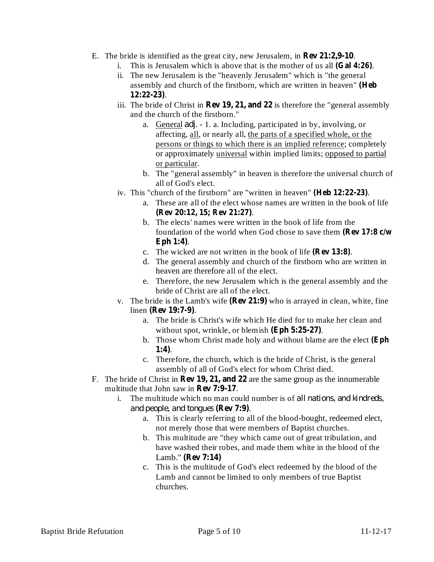- E. The bride is identified as the great city, new Jerusalem, in **Rev 21:2,9-10**.
	- i. This is Jerusalem which is above that is the mother of us all  $(Gal 4:26)$ .
	- ii. The new Jerusalem is the "heavenly Jerusalem" which is "the general assembly and church of the firstborn, which are written in heaven" **(Heb** . **12:22-23)**
	- iii. The bride of Christ in **Rev** 19, 21, and 22 is therefore the "general assembly and the church of the firstborn."
		- a. General *adj*. 1. a. Including, participated in by, involving, or affecting, all, or nearly all, the parts of a specified whole, or the persons or things to which there is an implied reference; completely or approximately universal within implied limits; opposed to partial or particular.
		- b. The "general assembly" in heaven is therefore the universal church of all of God's elect.
	- iv. This "church of the firstborn" are "written in heaven" (Heb 12:22-23).
		- a. These are all of the elect whose names are written in the book of life . **(Rev 20:12, 15; Rev 21:27)**
		- b. The elects' names were written in the book of life from the foundation of the world when God chose to save them **(Rev 17:8 c/w** . **Eph 1:4)**
		- c. The wicked are not written in the book of life  $(\text{Rev 13:8})$ .
		- d. The general assembly and church of the firstborn who are written in heaven are therefore all of the elect.
		- e. Therefore, the new Jerusalem which is the general assembly and the bride of Christ are all of the elect.
	- v. The bride is the Lamb's wife  $(\text{Rev 21:9})$  who is arrayed in clean, white, fine linen (Rev 19:7-9).
		- a. The bride is Christ's wife which He died for to make her clean and without spot, wrinkle, or blemish (Eph 5:25-27).
		- b. Those whom Christ made holy and without blame are the elect **(Eph** . **1:4)**
		- c. Therefore, the church, which is the bride of Christ, is the general assembly of all of God's elect for whom Christ died.
- F. The bride of Christ in **Rev 19, 21, and 22** are the same group as the innumerable multitude that John saw in Rev 7:9-17.
	- i. The multitude which no man could number is of *all nations, and kindreds,* . **(Rev 7:9)** *and people, and tongues*
		- a. This is clearly referring to all of the blood-bought, redeemed elect, not merely those that were members of Baptist churches.
		- b. This multitude are "they which came out of great tribulation, and have washed their robes, and made them white in the blood of the Lamb." **(Rev 7:14)**
		- c. This is the multitude of God's elect redeemed by the blood of the Lamb and cannot be limited to only members of true Baptist churches.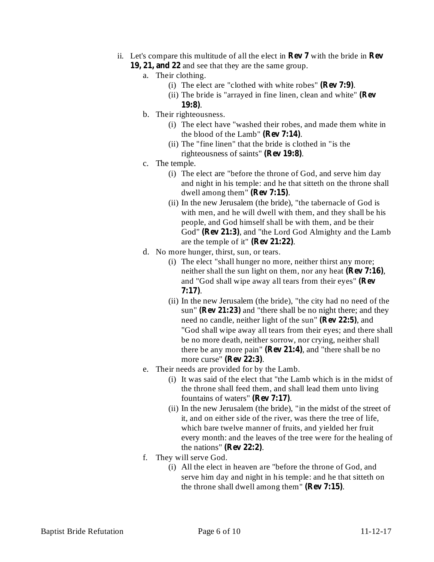- ii. Let's compare this multitude of all the elect in **Rev 7** with the bride in **Rev** 19, 21, and 22 and see that they are the same group.
	- a. Their clothing.
		- (i) The elect are "clothed with white robes"  $(\text{Rev 7:9})$ .
		- (ii) The bride is "arrayed in fine linen, clean and white" **(Rev** . **19:8)**
	- b. Their righteousness.
		- (i) The elect have "washed their robes, and made them white in the blood of the Lamb" (Rev 7:14).
		- (ii) The "fine linen" that the bride is clothed in "is the righteousness of saints" (Rev 19:8).
	- c. The temple.
		- (i) The elect are "before the throne of God, and serve him day and night in his temple: and he that sitteth on the throne shall dwell among them"  $(\text{Rev 7:15})$ .
		- (ii) In the new Jerusalem (the bride), "the tabernacle of God is with men, and he will dwell with them, and they shall be his people, and God himself shall be with them, and be their God" (Rev 21:3), and "the Lord God Almighty and the Lamb are the temple of it"  $(\text{Rev 21:22})$ .
	- d. No more hunger, thirst, sun, or tears.
		- (i) The elect "shall hunger no more, neither thirst any more; heither shall the sun light on them, nor any heat (Rev 7:16), and "God shall wipe away all tears from their eyes" **(Rev** . **7:17)**
		- (ii) In the new Jerusalem (the bride), "the city had no need of the sun" (**Rev** 21:23) and "there shall be no night there; and they need no candle, neither light of the sun" (Rev 22:5), and "God shall wipe away all tears from their eyes; and there shall be no more death, neither sorrow, nor crying, neither shall there be any more pain" ( $\bf{Rev 21:4}$ ), and "there shall be no more curse" (**Rev** 22:3).
	- e. Their needs are provided for by the Lamb.
		- (i) It was said of the elect that "the Lamb which is in the midst of the throne shall feed them, and shall lead them unto living fountains of waters" (Rev 7:17).
		- (ii) In the new Jerusalem (the bride), "in the midst of the street of it, and on either side of the river, was there the tree of life, which bare twelve manner of fruits, and yielded her fruit every month: and the leaves of the tree were for the healing of the nations"  $(\text{Rev } 22:2)$ .
	- f. They will serve God.
		- (i) All the elect in heaven are "before the throne of God, and serve him day and night in his temple: and he that sitteth on the throne shall dwell among them"  $(\text{Rev 7:15})$ .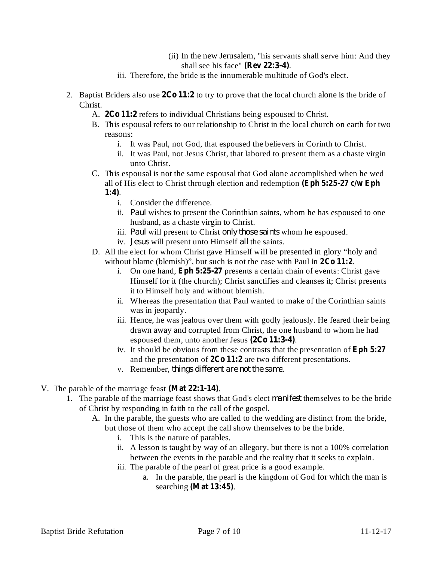- (ii) In the new Jerusalem, "his servants shall serve him: And they shall see his face" (Rev 22:3-4).
- iii. Therefore, the bride is the innumerable multitude of God's elect.
- 2. Baptist Briders also use  $2Co 11:2$  to try to prove that the local church alone is the bride of Christ.
	- A. 2Co 11:2 refers to individual Christians being espoused to Christ.
	- B. This espousal refers to our relationship to Christ in the local church on earth for two reasons:
		- i. It was Paul, not God, that espoused the believers in Corinth to Christ.
		- ii. It was Paul, not Jesus Christ, that labored to present them as a chaste virgin unto Christ.

C. This espousal is not the same espousal that God alone accomplished when he wed all of His elect to Christ through election and redemption **(Eph 5:25-27 c/w Eph**

## . **1:4)**

- i. Consider the difference.
- ii. Paul wishes to present the Corinthian saints, whom he has espoused to one husband, as a chaste virgin to Christ.
- iii. Paul will present to Christ only those saints whom he espoused.
- iv. Jesus will present unto Himself all the saints.
- D. All the elect for whom Christ gave Himself will be presented in glory "holy and without blame (blemish)", but such is not the case with Paul in  $2Co$   $11:2$ .
	- i. On one hand, **Eph 5:25-27** presents a certain chain of events: Christ gave Himself for it (the church); Christ sanctifies and cleanses it; Christ presents it to Himself holy and without blemish.
	- ii. Whereas the presentation that Paul wanted to make of the Corinthian saints was in jeopardy.
	- iii. Hence, he was jealous over them with godly jealously. He feared their being drawn away and corrupted from Christ, the one husband to whom he had espoused them, unto another Jesus (2Co 11:3-4).
	- iv. It should be obvious from these contrasts that the presentation of **Eph 5:27** and the presentation of  $2Co 11:2$  are two different presentations.
	- v. Remember, things different are not the same.
- V. The parable of the marriage feast (Mat 22:1-14).
	- 1. The parable of the marriage feast shows that God's elect *manifest* themselves to be the bride of Christ by responding in faith to the call of the gospel.
		- A. In the parable, the guests who are called to the wedding are distinct from the bride, but those of them who accept the call show themselves to be the bride.
			- i. This is the nature of parables.
			- ii. A lesson is taught by way of an allegory, but there is not a 100% correlation between the events in the parable and the reality that it seeks to explain.
			- iii. The parable of the pearl of great price is a good example.
				- a. In the parable, the pearl is the kingdom of God for which the man is searching (Mat 13:45).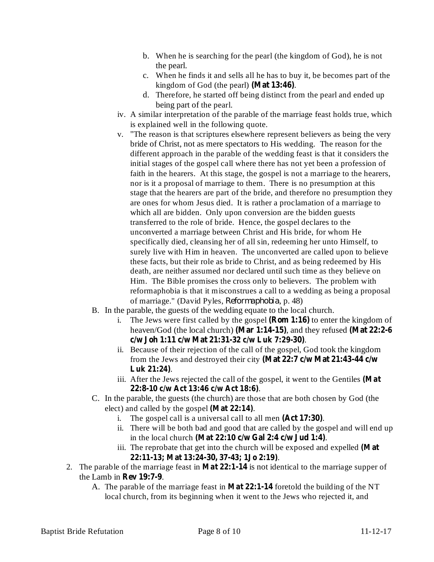- b. When he is searching for the pearl (the kingdom of God), he is not the pearl.
- c. When he finds it and sells all he has to buy it, be becomes part of the kingdom of God (the pearl) (Mat 13:46).
- d. Therefore, he started off being distinct from the pearl and ended up being part of the pearl.
- iv. A similar interpretation of the parable of the marriage feast holds true, which is explained well in the following quote.
- v. "The reason is that scriptures elsewhere represent believers as being the very bride of Christ, not as mere spectators to His wedding. The reason for the different approach in the parable of the wedding feast is that it considers the initial stages of the gospel call where there has not yet been a profession of faith in the hearers. At this stage, the gospel is not a marriage to the hearers, nor is it a proposal of marriage to them. There is no presumption at this stage that the hearers are part of the bride, and therefore no presumption they are ones for whom Jesus died. It is rather a proclamation of a marriage to which all are bidden. Only upon conversion are the bidden guests transferred to the role of bride. Hence, the gospel declares to the unconverted a marriage between Christ and His bride, for whom He specifically died, cleansing her of all sin, redeeming her unto Himself, to surely live with Him in heaven. The unconverted are called upon to believe these facts, but their role as bride to Christ, and as being redeemed by His death, are neither assumed nor declared until such time as they believe on Him. The Bible promises the cross only to believers. The problem with reformaphobia is that it misconstrues a call to a wedding as being a proposal of marriage." (David Pyles, Reformaphobia, p. 48)
- B. In the parable, the guests of the wedding equate to the local church.
	- i. The Jews were first called by the gospel  $(Rom 1:16)$  to enter the kingdom of heaven/God (the local church) (Mar 1:14-15), and they refused (Mat 22:2-6 . **c/w Joh 1:11 c/w Mat 21:31-32 c/w Luk 7:29-30)**
	- ii. Because of their rejection of the call of the gospel, God took the kingdom from the Jews and destroyed their city **(Mat 22:7 c/w Mat 21:43-44 c/w** . **Luk 21:24)**
	- iii. After the Jews rejected the call of the gospel, it went to the Gentiles **(Mat** . **22:8-10 c/w Act 13:46 c/w Act 18:6)**
- C. In the parable, the guests (the church) are those that are both chosen by God (the elect) and called by the gospel  $(Mat 22:14)$ .
	- i. The gospel call is a universal call to all men  $(Act 17:30)$ .
	- ii. There will be both bad and good that are called by the gospel and will end up in the local church (Mat 22:10 c/w Gal 2:4 c/w Jud 1:4).
	- iii. The reprobate that get into the church will be exposed and expelled **(Mat** . **22:11-13; Mat 13:24-30, 37-43; 1Jo 2:19)**
- 2. The parable of the marriage feast in **Mat** 22:1-14 is not identical to the marriage supper of the Lamb in **Rev** 19:7-9.
	- A. The parable of the marriage feast in **Mat 22:1-14** foretold the building of the NT local church, from its beginning when it went to the Jews who rejected it, and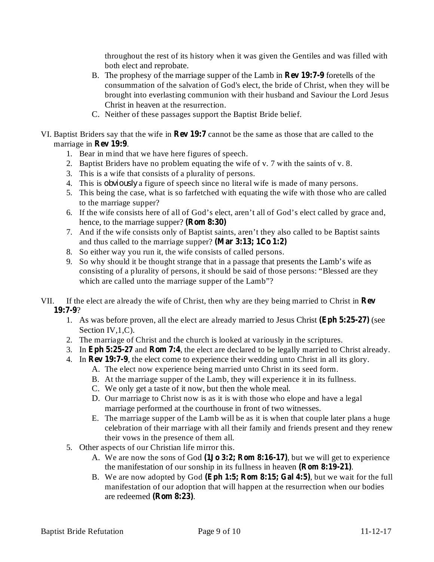throughout the rest of its history when it was given the Gentiles and was filled with both elect and reprobate.

- B. The prophesy of the marriage supper of the Lamb in **Rev 19:7-9** foretells of the consummation of the salvation of God's elect, the bride of Christ, when they will be brought into everlasting communion with their husband and Saviour the Lord Jesus Christ in heaven at the resurrection.
- C. Neither of these passages support the Baptist Bride belief.
- VI. Baptist Briders say that the wife in **Rev 19:7** cannot be the same as those that are called to the marriage in **Rev** 19:9.
	- 1. Bear in mind that we have here figures of speech.
	- 2. Baptist Briders have no problem equating the wife of v. 7 with the saints of v. 8.
	- 3. This is a wife that consists of a plurality of persons.
	- 4. This is *obviously* a figure of speech since no literal wife is made of many persons.
	- 5. This being the case, what is so farfetched with equating the wife with those who are called to the marriage supper?
	- 6. If the wife consists here of all of God's elect, aren't all of God's elect called by grace and, hence, to the marriage supper? **(Rom 8:30)**
	- 7. And if the wife consists only of Baptist saints, aren't they also called to be Baptist saints and thus called to the marriage supper? **(Mar 3:13; 1Co 1:2)**
	- 8. So either way you run it, the wife consists of called persons.
	- 9. So why should it be thought strange that in a passage that presents the Lamb's wife as consisting of a plurality of persons, it should be said of those persons: "Blessed are they which are called unto the marriage supper of the Lamb"?
- VII. If the elect are already the wife of Christ, then why are they being married to Christ in **Rev** ? **19:7-9**
	- 1. As was before proven, all the elect are already married to Jesus Christ (Eph 5:25-27) (see Section IV, 1, C).
	- 2. The marriage of Christ and the church is looked at variously in the scriptures.
	- 3. In Eph 5:25-27 and Rom 7:4, the elect are declared to be legally married to Christ already.
	- 4. In **Rev 19:7-9**, the elect come to experience their wedding unto Christ in all its glory.
		- A. The elect now experience being married unto Christ in its seed form.
			- B. At the marriage supper of the Lamb, they will experience it in its fullness.
			- C. We only get a taste of it now, but then the whole meal.
			- D. Our marriage to Christ now is as it is with those who elope and have a legal marriage performed at the courthouse in front of two witnesses.
		- E. The marriage supper of the Lamb will be as it is when that couple later plans a huge celebration of their marriage with all their family and friends present and they renew their vows in the presence of them all.
	- 5. Other aspects of our Christian life mirror this.
		- A. We are now the sons of God (1Jo 3:2; Rom 8:16-17), but we will get to experience the manifestation of our sonship in its fullness in heaven (**Rom 8:19-21**).
		- B. We are now adopted by God (Eph 1:5; Rom 8:15; Gal 4:5), but we wait for the full manifestation of our adoption that will happen at the resurrection when our bodies are redeemed (Rom 8:23).